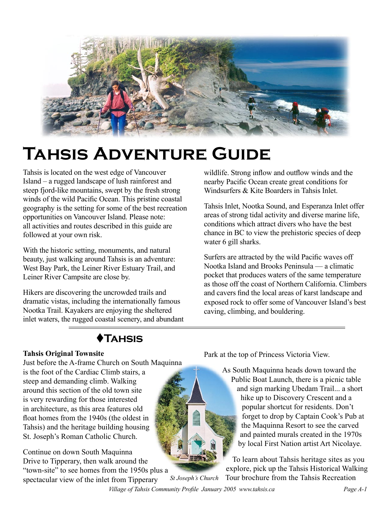

# **Tahsis Adventure Guide**

Tahsis is located on the west edge of Vancouver Island – a rugged landscape of lush rainforest and steep fjord-like mountains, swept by the fresh strong winds of the wild Pacific Ocean. This pristine coastal geography is the setting for some of the best recreation opportunities on Vancouver Island. Please note: all activities and routes described in this guide are followed at your own risk.

With the historic setting, monuments, and natural beauty, just walking around Tahsis is an adventure: West Bay Park, the Leiner River Estuary Trail, and Leiner River Campsite are close by.

Hikers are discovering the uncrowded trails and dramatic vistas, including the internationally famous Nootka Trail. Kayakers are enjoying the sheltered inlet waters, the rugged coastal scenery, and abundant

wildlife. Strong inflow and outflow winds and the nearby Pacific Ocean create great conditions for Windsurfers & Kite Boarders in Tahsis Inlet.

Tahsis Inlet, Nootka Sound, and Esperanza Inlet offer areas of strong tidal activity and diverse marine life, conditions which attract divers who have the best chance in BC to view the prehistoric species of deep water 6 gill sharks.

Surfers are attracted by the wild Pacific waves off Nootka Island and Brooks Peninsula — a climatic pocket that produces waters of the same temperature as those off the coast of Northern California. Climbers and cavers find the local areas of karst landscape and exposed rock to offer some of Vancouver Island's best caving, climbing, and bouldering.

### t**Tahsis**

### **Tahsis Original Townsite**

Just before the A-frame Church on South Maquinna is the foot of the Cardiac Climb stairs, a steep and demanding climb. Walking around this section of the old town site is very rewarding for those interested in architecture, as this area features old float homes from the 1940s (the oldest in Tahsis) and the heritage building housing St. Joseph's Roman Catholic Church.

Continue on down South Maquinna Drive to Tipperary, then walk around the "town-site" to see homes from the 1950s plus a<br>spectacular view of the inlet from Tinnerary St Joseph's Church spectacular view of the inlet from Tipperary

Park at the top of Princess Victoria View.

As South Maquinna heads down toward the Public Boat Launch, there is a picnic table and sign marking Ubedam Trail... a short hike up to Discovery Crescent and a popular shortcut for residents. Don't forget to drop by Captain Cook's Pub at the Maquinna Resort to see the carved and painted murals created in the 1970s by local First Nation artist Art Nicolaye.

To learn about Tahsis heritage sites as you explore, pick up the Tahsis Historical Walking Tour brochure from the Tahsis Recreation

 *Village of Tahsis Community Profile January 2005 www.tahsis.ca Page A-1*

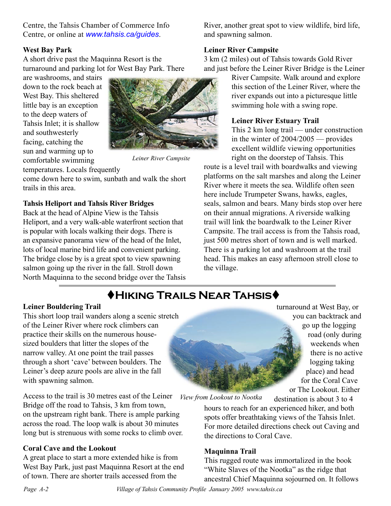Centre, the Tahsis Chamber of Commerce Info Centre, or online at *[www.tahsis.ca/guides](http://www.tahsis.ca/guides)*.

#### **West Bay Park**

A short drive past the Maquinna Resort is the turnaround and parking lot for West Bay Park. There

are washrooms, and stairs down to the rock beach at West Bay. This sheltered little bay is an exception to the deep waters of Tahsis Inlet; it is shallow and southwesterly facing, catching the sun and warming up to comfortable swimming temperatures. Locals frequently



*Leiner River Campsite*

come down here to swim, sunbath and walk the short trails in this area.

#### **Tahsis Heliport and Tahsis River Bridges**

Back at the head of Alpine View is the Tahsis Heliport, and a very walk-able waterfront section that is popular with locals walking their dogs. There is an expansive panorama view of the head of the Inlet, lots of local marine bird life and convenient parking. The bridge close by is a great spot to view spawning salmon going up the river in the fall. Stroll down North Maquinna to the second bridge over the Tahsis River, another great spot to view wildlife, bird life, and spawning salmon.

#### **Leiner River Campsite**

3 km (2 miles) out of Tahsis towards Gold River and just before the Leiner River Bridge is the Leiner

> River Campsite. Walk around and explore this section of the Leiner River, where the river expands out into a picturesque little swimming hole with a swing rope.

#### **Leiner River Estuary Trail**

This 2 km long trail — under construction in the winter of 2004/2005 — provides excellent wildlife viewing opportunities right on the doorstep of Tahsis. This

route is a level trail with boardwalks and viewing platforms on the salt marshes and along the Leiner River where it meets the sea. Wildlife often seen here include Trumpeter Swans, hawks, eagles, seals, salmon and bears. Many birds stop over here on their annual migrations. A riverside walking trail will link the boardwalk to the Leiner River Campsite. The trail access is from the Tahsis road, just 500 metres short of town and is well marked. There is a parking lot and washroom at the trail head. This makes an easy afternoon stroll close to the village.

## t**Hiking Trails Near Tahsis**t

#### **Leiner Bouldering Trail**

This short loop trail wanders along a scenic stretch of the Leiner River where rock climbers can practice their skills on the numerous housesized boulders that litter the slopes of the narrow valley. At one point the trail passes through a short 'cave' between boulders. The Leiner's deep azure pools are alive in the fall with spawning salmon.

Access to the trail is 30 metres east of the Leiner Bridge off the road to Tahsis, 3 km from town, on the upstream right bank. There is ample parking across the road. The loop walk is about 30 minutes long but is strenuous with some rocks to climb over. *View from Lookout to Nootka*

#### **Coral Cave and the Lookout**

A great place to start a more extended hike is from West Bay Park, just past Maquinna Resort at the end of town. There are shorter trails accessed from the

turnaround at West Bay, or you can backtrack and go up the logging road (only during weekends when there is no active logging taking place) and head for the Coral Cave or The Lookout. Either

destination is about 3 to 4

hours to reach for an experienced hiker, and both spots offer breathtaking views of the Tahsis Inlet. For more detailed directions check out Caving and the directions to Coral Cave.

#### **Maquinna Trail**

This rugged route was immortalized in the book "White Slaves of the Nootka" as the ridge that ancestral Chief Maquinna sojourned on. It follows

*Page A-2 Village of Tahsis Community Profile January 2005 www.tahsis.ca Village of Tahsis Community Profile January 2005 www.tahsis.ca Page A-3*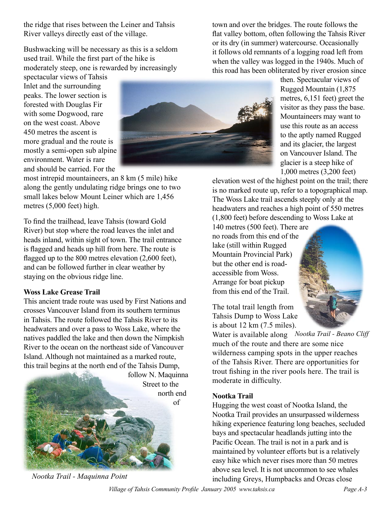the ridge that rises between the Leiner and Tahsis River valleys directly east of the village.

Bushwacking will be necessary as this is a seldom used trail. While the first part of the hike is moderately steep, one is rewarded by increasingly

spectacular views of Tahsis Inlet and the surrounding peaks. The lower section is forested with Douglas Fir with some Dogwood, rare on the west coast. Above 450 metres the ascent is more gradual and the route is mostly a semi-open sub alpine environment. Water is rare and should be carried. For the

most intrepid mountaineers, an 8 km (5 mile) hike along the gently undulating ridge brings one to two small lakes below Mount Leiner which are 1,456 metres (5,000 feet) high.

To find the trailhead, leave Tahsis (toward Gold River) but stop where the road leaves the inlet and heads inland, within sight of town. The trail entrance is flagged and heads up hill from here. The route is flagged up to the 800 metres elevation (2,600 feet), and can be followed further in clear weather by staying on the obvious ridge line.

#### **Woss Lake Grease Trail**

This ancient trade route was used by First Nations and crosses Vancouver Island from its southern terminus in Tahsis. The route followed the Tahsis River to its headwaters and over a pass to Woss Lake, where the natives paddled the lake and then down the Nimpkish River to the ocean on the northeast side of Vancouver Island. Although not maintained as a marked route, this trail begins at the north end of the Tahsis Dump,



*Nootka Trail - Maquinna Point*



town and over the bridges. The route follows the flat valley bottom, often following the Tahsis River or its dry (in summer) watercourse. Occasionally it follows old remnants of a logging road left from when the valley was logged in the 1940s. Much of this road has been obliterated by river erosion since

> then. Spectacular views of Rugged Mountain (1,875 metres, 6,151 feet) greet the visitor as they pass the base. Mountaineers may want to use this route as an access to the aptly named Rugged and its glacier, the largest on Vancouver Island. The glacier is a steep hike of 1,000 metres (3,200 feet)

elevation west of the highest point on the trail; there is no marked route up, refer to a topographical map. The Woss Lake trail ascends steeply only at the headwaters and reaches a high point of 550 metres (1,800 feet) before descending to Woss Lake at

140 metres (500 feet). There are no roads from this end of the lake (still within Rugged Mountain Provincial Park) but the other end is roadaccessible from Woss. Arrange for boat pickup from this end of the Trail.

The total trail length from Tahsis Dump to Woss Lake is about 12 km (7.5 miles).

Water is available along Nootka Trail - Beano Cliff much of the route and there are some nice wilderness camping spots in the upper reaches of the Tahsis River. There are opportunities for trout fishing in the river pools here. The trail is moderate in difficulty.

#### **Nootka Trail**

Hugging the west coast of Nootka Island, the Nootka Trail provides an unsurpassed wilderness hiking experience featuring long beaches, secluded bays and spectacular headlands jutting into the Pacific Ocean. The trail is not in a park and is maintained by volunteer efforts but is a relatively easy hike which never rises more than 50 metres above sea level. It is not uncommon to see whales including Greys, Humpbacks and Orcas close

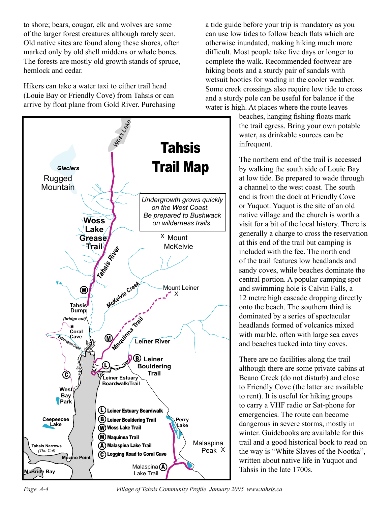to shore; bears, cougar, elk and wolves are some of the larger forest creatures although rarely seen. Old native sites are found along these shores, often marked only by old shell middens or whale bones. The forests are mostly old growth stands of spruce, hemlock and cedar.

Hikers can take a water taxi to either trail head (Louie Bay or Friendly Cove) from Tahsis or can arrive by float plane from Gold River. Purchasing



a tide guide before your trip is mandatory as you can use low tides to follow beach flats which are otherwise inundated, making hiking much more difficult. Most people take five days or longer to complete the walk. Recommended footwear are hiking boots and a sturdy pair of sandals with wetsuit booties for wading in the cooler weather. Some creek crossings also require low tide to cross and a sturdy pole can be useful for balance if the water is high. At places where the route leaves

beaches, hanging fishing floats mark the trail egress. Bring your own potable water, as drinkable sources can be infrequent.

The northern end of the trail is accessed by walking the south side of Louie Bay at low tide. Be prepared to wade through a channel to the west coast. The south end is from the dock at Friendly Cove or Yuquot. Yuquot is the site of an old native village and the church is worth a visit for a bit of the local history. There is generally a charge to cross the reservation at this end of the trail but camping is included with the fee. The north end of the trail features low headlands and sandy coves, while beaches dominate the central portion. A popular camping spot and swimming hole is Calvin Falls, a 12 metre high cascade dropping directly onto the beach. The southern third is dominated by a series of spectacular headlands formed of volcanics mixed with marble, often with large sea caves and beaches tucked into tiny coves.

There are no facilities along the trail although there are some private cabins at Beano Creek (do not disturb) and close to Friendly Cove (the latter are available to rent). It is useful for hiking groups to carry a VHF radio or Sat-phone for emergencies. The route can become dangerous in severe storms, mostly in winter. Guidebooks are available for this trail and a good historical book to read on the way is "White Slaves of the Nootka", written about native life in Yuquot and Tahsis in the late 1700s.

*Page A-4 Village of Tahsis Community Profile January 2005 www.tahsis.ca Village of Tahsis Community Profile January 2005 www.tahsis.ca Page A-5*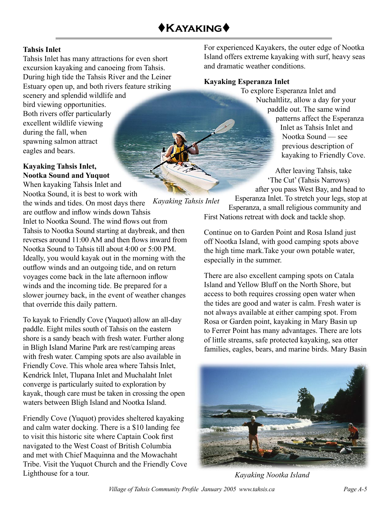#### **Tahsis Inlet**

Tahsis Inlet has many attractions for even short excursion kayaking and canoeing from Tahsis. During high tide the Tahsis River and the Leiner Estuary open up, and both rivers feature striking

scenery and splendid wildlife and bird viewing opportunities. Both rivers offer particularly excellent wildlife viewing during the fall, when spawning salmon attract eagles and bears.

### **Kayaking Tahsis Inlet, Nootka Sound and Yuquot**

When kayaking Tahsis Inlet and Nootka Sound, it is best to work with

*Kayaking Tahsis Inlet* the winds and tides. On most days there are outflow and inflow winds down Tahsis Inlet to Nootka Sound. The wind flows out from Tahsis to Nootka Sound starting at daybreak, and then reverses around 11:00 AM and then flows inward from Nootka Sound to Tahsis till about 4:00 or 5:00 PM. Ideally, you would kayak out in the morning with the outflow winds and an outgoing tide, and on return voyages come back in the late afternoon inflow winds and the incoming tide. Be prepared for a slower journey back, in the event of weather changes that override this daily pattern.

To kayak to Friendly Cove (Yuquot) allow an all-day paddle. Eight miles south of Tahsis on the eastern shore is a sandy beach with fresh water. Further along in Bligh Island Marine Park are rest/camping areas with fresh water. Camping spots are also available in Friendly Cove. This whole area where Tahsis Inlet, Kendrick Inlet, Tlupana Inlet and Muchalaht Inlet converge is particularly suited to exploration by kayak, though care must be taken in crossing the open waters between Bligh Island and Nootka Island.

Friendly Cove (Yuquot) provides sheltered kayaking and calm water docking. There is a \$10 landing fee to visit this historic site where Captain Cook first navigated to the West Coast of British Columbia and met with Chief Maquinna and the Mowachaht Tribe. Visit the Yuquot Church and the Friendly Cove Lighthouse for a tour.

For experienced Kayakers, the outer edge of Nootka Island offers extreme kayaking with surf, heavy seas and dramatic weather conditions.

#### **Kayaking Esperanza Inlet**

To explore Esperanza Inlet and Nuchaltlitz, allow a day for your paddle out. The same wind patterns affect the Esperanza Inlet as Tahsis Inlet and Nootka Sound — see previous description of kayaking to Friendly Cove.

After leaving Tahsis, take 'The Cut' (Tahsis Narrows) after you pass West Bay, and head to Esperanza Inlet. To stretch your legs, stop at

Esperanza, a small religious community and First Nations retreat with dock and tackle shop.

Continue on to Garden Point and Rosa Island just off Nootka Island, with good camping spots above the high time mark.Take your own potable water, especially in the summer.

There are also excellent camping spots on Catala Island and Yellow Bluff on the North Shore, but access to both requires crossing open water when the tides are good and water is calm. Fresh water is not always available at either camping spot. From Rosa or Garden point, kayaking in Mary Basin up to Ferrer Point has many advantages. There are lots of little streams, safe protected kayaking, sea otter families, eagles, bears, and marine birds. Mary Basin



*Kayaking Nootka Island*

*Page A-4 Village of Tahsis Community Profile January 2005 www.tahsis.ca Village of Tahsis Community Profile January 2005 www.tahsis.ca Page A-5*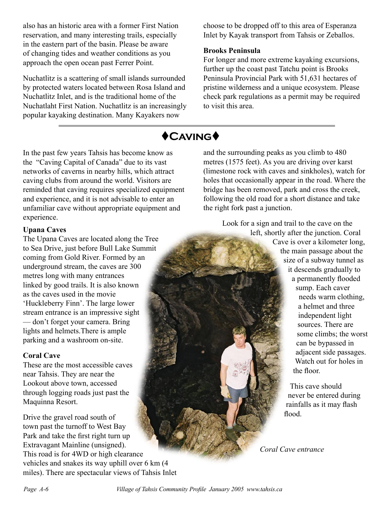also has an historic area with a former First Nation reservation, and many interesting trails, especially in the eastern part of the basin. Please be aware of changing tides and weather conditions as you approach the open ocean past Ferrer Point.

Nuchatlitz is a scattering of small islands surrounded by protected waters located between Rosa Island and Nuchatlitz Inlet, and is the traditional home of the Nuchatlaht First Nation. Nuchatlitz is an increasingly popular kayaking destination. Many Kayakers now

choose to be dropped off to this area of Esperanza Inlet by Kayak transport from Tahsis or Zeballos.

#### **Brooks Peninsula**

For longer and more extreme kayaking excursions, further up the coast past Tatchu point is Brooks Peninsula Provincial Park with 51,631 hectares of pristine wilderness and a unique ecosystem. Please check park regulations as a permit may be required to visit this area.

### $\bigstar$ **CAVING**

In the past few years Tahsis has become know as the "Caving Capital of Canada" due to its vast networks of caverns in nearby hills, which attract caving clubs from around the world. Visitors are reminded that caving requires specialized equipment and experience, and it is not advisable to enter an unfamiliar cave without appropriate equipment and experience.

#### **Upana Caves**

The Upana Caves are located along the Tree to Sea Drive, just before Bull Lake Summit coming from Gold River. Formed by an underground stream, the caves are 300 metres long with many entrances linked by good trails. It is also known as the caves used in the movie 'Huckleberry Finn'. The large lower stream entrance is an impressive sight — don't forget your camera. Bring lights and helmets.There is ample parking and a washroom on-site.

#### **Coral Cave**

These are the most accessible caves near Tahsis. They are near the Lookout above town, accessed through logging roads just past the Maquinna Resort.

Drive the gravel road south of town past the turnoff to West Bay Park and take the first right turn up Extravagant Mainline (unsigned). This road is for 4WD or high clearance vehicles and snakes its way uphill over 6 km (4 miles). There are spectacular views of Tahsis Inlet

and the surrounding peaks as you climb to 480 metres (1575 feet). As you are driving over karst (limestone rock with caves and sinkholes), watch for holes that occasionally appear in the road. Where the bridge has been removed, park and cross the creek, following the old road for a short distance and take the right fork past a junction.

> Look for a sign and trail to the cave on the left, shortly after the junction. Coral Cave is over a kilometer long, the main passage about the size of a subway tunnel as it descends gradually to a permanently flooded sump. Each caver needs warm clothing, a helmet and three independent light sources. There are some climbs; the worst can be bypassed in adjacent side passages. Watch out for holes in the floor.

> > This cave should never be entered during rainfalls as it may flash flood.

*Coral Cave entrance*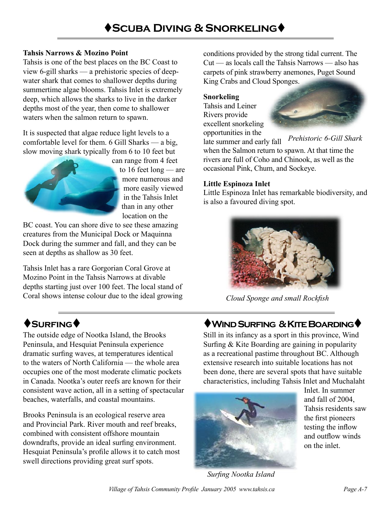### **Tahsis Narrows & Mozino Point**

Tahsis is one of the best places on the BC Coast to view 6-gill sharks — a prehistoric species of deepwater shark that comes to shallower depths during summertime algae blooms. Tahsis Inlet is extremely deep, which allows the sharks to live in the darker depths most of the year, then come to shallower waters when the salmon return to spawn.

It is suspected that algae reduce light levels to a comfortable level for them. 6 Gill Sharks — a big, slow moving shark typically from 6 to 10 feet but



can range from 4 feet to 16 feet long — are more numerous and more easily viewed in the Tahsis Inlet than in any other location on the

BC coast. You can shore dive to see these amazing creatures from the Municipal Dock or Maquinna Dock during the summer and fall, and they can be seen at depths as shallow as 30 feet.

Tahsis Inlet has a rare Gorgorian Coral Grove at Mozino Point in the Tahsis Narrows at divable depths starting just over 100 feet. The local stand of Coral shows intense colour due to the ideal growing

The outside edge of Nootka Island, the Brooks Peninsula, and Hesquiat Peninsula experience dramatic surfing waves, at temperatures identical to the waters of North California — the whole area occupies one of the most moderate climatic pockets in Canada. Nootka's outer reefs are known for their consistent wave action, all in a setting of spectacular beaches, waterfalls, and coastal mountains.

Brooks Peninsula is an ecological reserve area and Provincial Park. River mouth and reef breaks, combined with consistent offshore mountain downdrafts, provide an ideal surfing environment. Hesquiat Peninsula's profile allows it to catch most swell directions providing great surf spots.

conditions provided by the strong tidal current. The Cut — as locals call the Tahsis Narrows — also has carpets of pink strawberry anemones, Puget Sound King Crabs and Cloud Sponges.

### **Snorkeling**

Tahsis and Leiner Rivers provide excellent snorkeling opportunities in the



*Prehistoric 6-Gill Shark* late summer and early fall when the Salmon return to spawn. At that time the rivers are full of Coho and Chinook, as well as the occasional Pink, Chum, and Sockeye.

### **Little Espinoza Inlet**

Little Espinoza Inlet has remarkable biodiversity, and is also a favoured diving spot.



*Cloud Sponge and small Rockfish*

### $\bigcirc$ Surfing ♦ to the state of the Surfing & Kite Boarding

Still in its infancy as a sport in this province, Wind Surfing & Kite Boarding are gaining in popularity as a recreational pastime throughout BC. Although extensive research into suitable locations has not been done, there are several spots that have suitable characteristics, including Tahsis Inlet and Muchalaht



Inlet. In summer and fall of 2004, Tahsis residents saw the first pioneers testing the inflow and outflow winds on the inlet.

*Surfing Nootka Island*

*Page A-6 Village of Tahsis Community Profile January 2005 www.tahsis.ca Village of Tahsis Community Profile January 2005 www.tahsis.ca Page A-7*